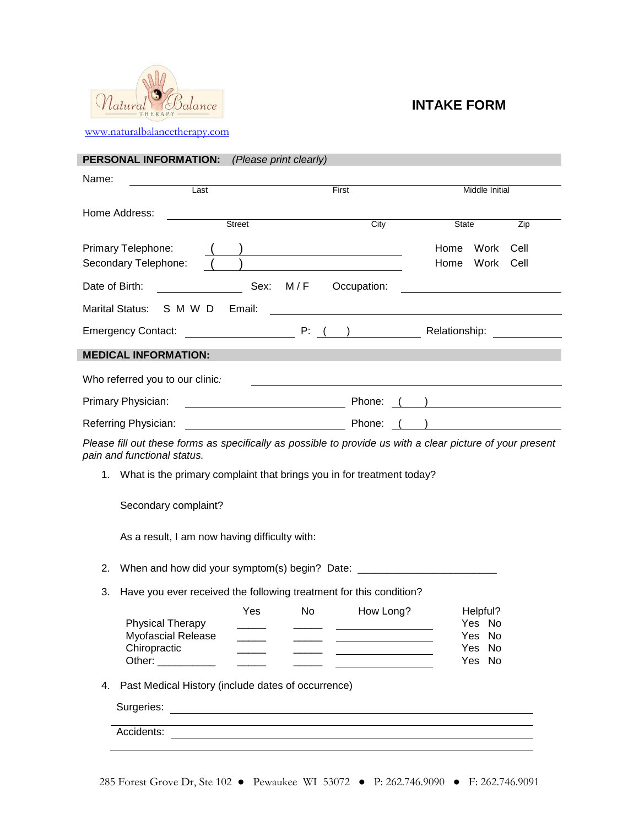

## **INTAKE FORM**

[www.naturalbalancetherapy.com](http://www.naturalbalancetherapy.com/)

| PERSONAL INFORMATION:                                                                                                                                                                                                                                                                                                                                                                                                                                                                           | (Please print clearly)                                             |                                                |
|-------------------------------------------------------------------------------------------------------------------------------------------------------------------------------------------------------------------------------------------------------------------------------------------------------------------------------------------------------------------------------------------------------------------------------------------------------------------------------------------------|--------------------------------------------------------------------|------------------------------------------------|
| Name:                                                                                                                                                                                                                                                                                                                                                                                                                                                                                           |                                                                    |                                                |
| Last                                                                                                                                                                                                                                                                                                                                                                                                                                                                                            | First                                                              | Middle Initial                                 |
| Home Address:<br>Street                                                                                                                                                                                                                                                                                                                                                                                                                                                                         | City                                                               | State<br>Zip                                   |
|                                                                                                                                                                                                                                                                                                                                                                                                                                                                                                 |                                                                    |                                                |
| Primary Telephone:                                                                                                                                                                                                                                                                                                                                                                                                                                                                              |                                                                    | Work<br>Home<br>Cell<br>Home<br>Work<br>Cell   |
| Secondary Telephone:                                                                                                                                                                                                                                                                                                                                                                                                                                                                            |                                                                    |                                                |
| Date of Birth:                                                                                                                                                                                                                                                                                                                                                                                                                                                                                  | Sex: M/F Occupation:                                               |                                                |
| Marital Status: S M W D<br>Email:                                                                                                                                                                                                                                                                                                                                                                                                                                                               | <u> 1980 - Johann Barbara, martxa amerikan personal (h. 1980).</u> |                                                |
| <b>Emergency Contact:</b>                                                                                                                                                                                                                                                                                                                                                                                                                                                                       | P: (                                                               | Relationship:                                  |
| <b>MEDICAL INFORMATION:</b>                                                                                                                                                                                                                                                                                                                                                                                                                                                                     |                                                                    |                                                |
| Who referred you to our clinic:                                                                                                                                                                                                                                                                                                                                                                                                                                                                 |                                                                    |                                                |
| Primary Physician:                                                                                                                                                                                                                                                                                                                                                                                                                                                                              | Phone: ( )                                                         |                                                |
| Referring Physician:<br><u> 1980 - Jan Samuel Barbara, poeta esta</u>                                                                                                                                                                                                                                                                                                                                                                                                                           | Phone:                                                             | ) and the contract of $\overline{\phantom{a}}$ |
| Please fill out these forms as specifically as possible to provide us with a clear picture of your present<br>pain and functional status.                                                                                                                                                                                                                                                                                                                                                       |                                                                    |                                                |
| 1. What is the primary complaint that brings you in for treatment today?                                                                                                                                                                                                                                                                                                                                                                                                                        |                                                                    |                                                |
| Secondary complaint?                                                                                                                                                                                                                                                                                                                                                                                                                                                                            |                                                                    |                                                |
| As a result, I am now having difficulty with:                                                                                                                                                                                                                                                                                                                                                                                                                                                   |                                                                    |                                                |
| When and how did your symptom(s) begin? Date: __________________________________<br>2.                                                                                                                                                                                                                                                                                                                                                                                                          |                                                                    |                                                |
| Have you ever received the following treatment for this condition?<br>3.                                                                                                                                                                                                                                                                                                                                                                                                                        |                                                                    |                                                |
| Yes                                                                                                                                                                                                                                                                                                                                                                                                                                                                                             | No<br>How Long?                                                    | Helpful?                                       |
| <b>Physical Therapy</b>                                                                                                                                                                                                                                                                                                                                                                                                                                                                         |                                                                    | Yes No                                         |
| <b>Myofascial Release</b><br>Chiropractic<br>$\overline{\phantom{a}}$                                                                                                                                                                                                                                                                                                                                                                                                                           |                                                                    | Yes No<br>Yes No                               |
| Other: __________<br>$\frac{1}{2} \left( \frac{1}{2} \right) \left( \frac{1}{2} \right) \left( \frac{1}{2} \right) \left( \frac{1}{2} \right) \left( \frac{1}{2} \right) \left( \frac{1}{2} \right) \left( \frac{1}{2} \right) \left( \frac{1}{2} \right) \left( \frac{1}{2} \right) \left( \frac{1}{2} \right) \left( \frac{1}{2} \right) \left( \frac{1}{2} \right) \left( \frac{1}{2} \right) \left( \frac{1}{2} \right) \left( \frac{1}{2} \right) \left( \frac{1}{2} \right) \left( \frac$ |                                                                    | Yes No                                         |
| Past Medical History (include dates of occurrence)<br>4.                                                                                                                                                                                                                                                                                                                                                                                                                                        |                                                                    |                                                |
| Surgeries: <u>Contract of the Contract of the Contract of the Contract of the Contract of the Contract of the Contract of the Contract of the Contract of the Contract of the Contract of the Contract of the Contract of the Co</u>                                                                                                                                                                                                                                                            |                                                                    |                                                |
|                                                                                                                                                                                                                                                                                                                                                                                                                                                                                                 |                                                                    |                                                |
|                                                                                                                                                                                                                                                                                                                                                                                                                                                                                                 |                                                                    |                                                |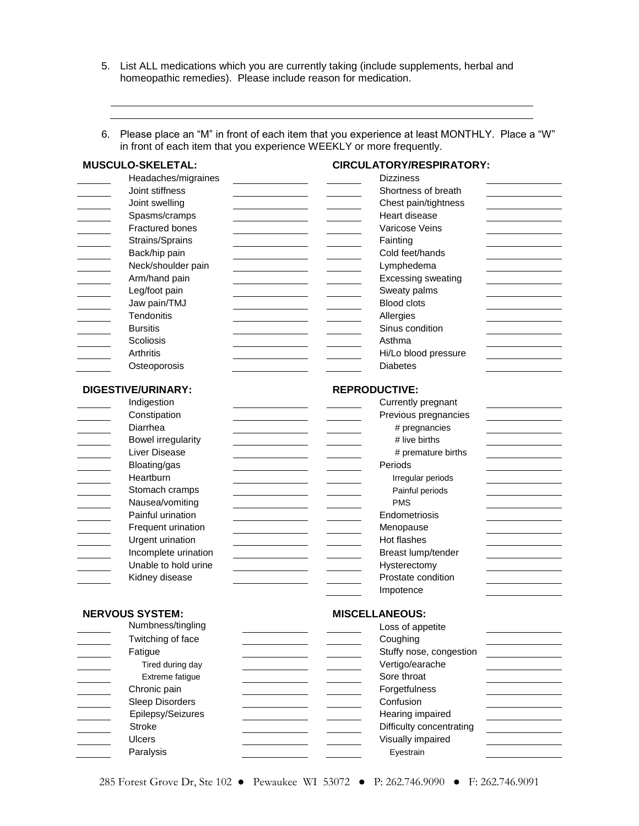5. List ALL medications which you are currently taking (include supplements, herbal and homeopathic remedies). Please include reason for medication.

6. Please place an "M" in front of each item that you experience at least MONTHLY. Place a "W" in front of each item that you experience WEEKLY or more frequently.

| MUSCULO-SKELETAL:         | <b>CIRCULATORY/RESPIRATORY:</b> |
|---------------------------|---------------------------------|
| Headaches/migraines       | <b>Dizziness</b>                |
| Joint stiffness           | Shortness of breath             |
| Joint swelling            | Chest pain/tightness            |
| Spasms/cramps             | Heart disease                   |
| <b>Fractured bones</b>    | Varicose Veins                  |
| Strains/Sprains           | Fainting                        |
| Back/hip pain             | Cold feet/hands                 |
| Neck/shoulder pain        | Lymphedema                      |
| Arm/hand pain             | <b>Excessing sweating</b>       |
| Leg/foot pain             | Sweaty palms                    |
| Jaw pain/TMJ              | <b>Blood clots</b>              |
| Tendonitis                | Allergies                       |
| <b>Bursitis</b>           | Sinus condition                 |
| Scoliosis                 | Asthma                          |
| <b>Arthritis</b>          | Hi/Lo blood pressure            |
| Osteoporosis              | <b>Diabetes</b>                 |
|                           |                                 |
| DIGESTIVE/URINARY:        | <b>REPRODUCTIVE:</b>            |
| Indigestion               | Currently pregnant              |
| Constipation              | Previous pregnancies            |
| Diarrhea                  | # pregnancies                   |
| <b>Bowel irregularity</b> | # live births                   |
| Liver Disease             | # premature births              |
| Bloating/gas              | Periods                         |
| Heartburn                 | Irregular periods               |
| Stomach cramps            | Painful periods                 |
| Nausea/vomiting           | <b>PMS</b>                      |
| Painful urination         | Endometriosis                   |
| Frequent urination        | Menopause                       |
| Urgent urination          | Hot flashes                     |
| Incomplete urination      | Breast lump/tender              |
| Unable to hold urine      | Hysterectomy                    |
| Kidney disease            | Prostate condition              |
|                           | Impotence                       |
|                           |                                 |
| <b>NERVOUS SYSTEM:</b>    | <b>MISCELLANEOUS:</b>           |
| Numbness/tingling         | Loss of appetite                |
| Twitching of face         | Coughing                        |
| Fatigue                   | Stuffy nose, congestion         |
| Tired during day          | Vertigo/earache                 |
| Extreme fatigue           | Sore throat                     |
| Chronic pain              | Forgetfulness                   |
| Sleep Disorders           | Confusion                       |
| Epilepsy/Seizures         | Hearing impaired                |
| <b>Stroke</b>             | Difficulty concentrating        |
| <b>Ulcers</b>             | Visually impaired               |
| Paralysis                 | Eyestrain                       |